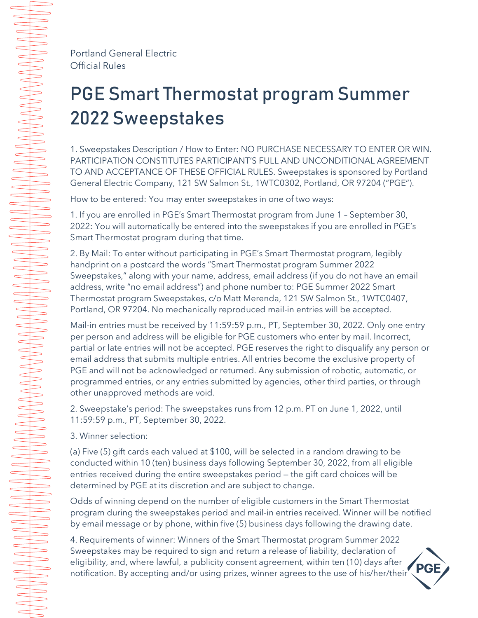Portland General Electric Official Rules

## PGE Smart Thermostat program Summer 2022 Sweepstakes

1. Sweepstakes Description / How to Enter: NO PURCHASE NECESSARY TO ENTER OR WIN. PARTICIPATION CONSTITUTES PARTICIPANT'S FULL AND UNCONDITIONAL AGREEMENT TO AND ACCEPTANCE OF THESE OFFICIAL RULES. Sweepstakes is sponsored by Portland General Electric Company, 121 SW Salmon St., 1WTC0302, Portland, OR 97204 ("PGE").

How to be entered: You may enter sweepstakes in one of two ways:

1. If you are enrolled in PGE's Smart Thermostat program from June 1 – September 30, 2022: You will automatically be entered into the sweepstakes if you are enrolled in PGE's Smart Thermostat program during that time.

2. By Mail: To enter without participating in PGE's Smart Thermostat program, legibly handprint on a postcard the words "Smart Thermostat program Summer 2022 Sweepstakes," along with your name, address, email address (if you do not have an email address, write "no email address") and phone number to: PGE Summer 2022 Smart Thermostat program Sweepstakes, c/o Matt Merenda, 121 SW Salmon St., 1WTC0407, Portland, OR 97204. No mechanically reproduced mail-in entries will be accepted.

Mail-in entries must be received by 11:59:59 p.m., PT, September 30, 2022. Only one entry per person and address will be eligible for PGE customers who enter by mail. Incorrect, partial or late entries will not be accepted. PGE reserves the right to disqualify any person or email address that submits multiple entries. All entries become the exclusive property of PGE and will not be acknowledged or returned. Any submission of robotic, automatic, or programmed entries, or any entries submitted by agencies, other third parties, or through other unapproved methods are void.

2. Sweepstake's period: The sweepstakes runs from 12 p.m. PT on June 1, 2022, until 11:59:59 p.m., PT, September 30, 2022.

3. Winner selection:

(a) Five (5) gift cards each valued at \$100, will be selected in a random drawing to be conducted within 10 (ten) business days following September 30, 2022, from all eligible entries received during the entire sweepstakes period — the gift card choices will be determined by PGE at its discretion and are subject to change.

Odds of winning depend on the number of eligible customers in the Smart Thermostat program during the sweepstakes period and mail-in entries received. Winner will be notified by email message or by phone, within five (5) business days following the drawing date.

4. Requirements of winner: Winners of the Smart Thermostat program Summer 2022 Sweepstakes may be required to sign and return a release of liability, declaration of eligibility, and, where lawful, a publicity consent agreement, within ten (10) days after notification. By accepting and/or using prizes, winner agrees to the use of his/her/their

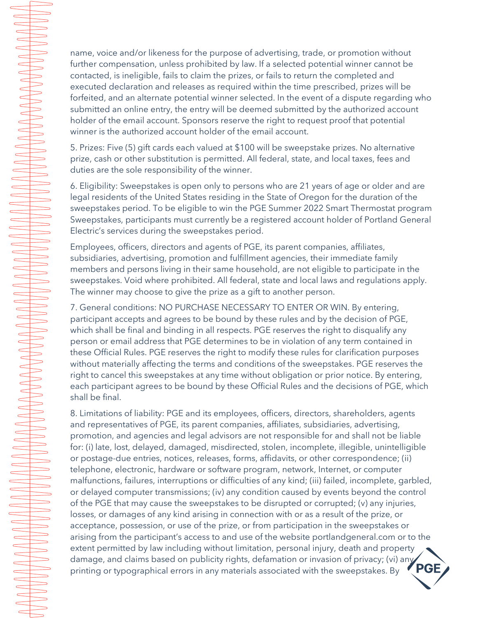name, voice and/or likeness for the purpose of advertising, trade, or promotion without further compensation, unless prohibited by law. If a selected potential winner cannot be contacted, is ineligible, fails to claim the prizes, or fails to return the completed and executed declaration and releases as required within the time prescribed, prizes will be forfeited, and an alternate potential winner selected. In the event of a dispute regarding who submitted an online entry, the entry will be deemed submitted by the authorized account holder of the email account. Sponsors reserve the right to request proof that potential winner is the authorized account holder of the email account.

5. Prizes: Five (5) gift cards each valued at \$100 will be sweepstake prizes. No alternative prize, cash or other substitution is permitted. All federal, state, and local taxes, fees and duties are the sole responsibility of the winner.

 $\implies$ 

 $\overline{\phantom{0}}$ 

 $\implies$ 

 $\Rightarrow$ 

 $\Rightarrow$ 

 $\overline{\phantom{0}}$ 

 $\begin{array}{c}\n\hline\n\end{array}$  $\begin{array}{c}\n\hline\n\end{array}$  $\subset$  $\begin{array}{c}\n\hline\n\end{array}$  $\begin{array}{c}\n\end{array}$  $\begin{array}{c} \begin{array}{c} \begin{array}{c} \begin{array}{c} \end{array} \end{array} \end{array} \end{array} \end{array}$  $\overbrace{\phantom{aaaaa}}$  $\overbrace{\hspace{1.2cm}}$  $\overline{\phantom{0}}$ 

 $\overline{\phantom{0}}$ 

 $\overline{\phantom{0}}$  $\begin{array}{c} \begin{array}{c} \begin{array}{c} \begin{array}{c} \end{array} \end{array} \end{array} \end{array} \end{array}$ 

 $\overline{\phantom{0}}$  6. Eligibility: Sweepstakes is open only to persons who are 21 years of age or older and are legal residents of the United States residing in the State of Oregon for the duration of the sweepstakes period. To be eligible to win the PGE Summer 2022 Smart Thermostat program Sweepstakes, participants must currently be a registered account holder of Portland General Electric's services during the sweepstakes period.

Employees, officers, directors and agents of PGE, its parent companies, affiliates, subsidiaries, advertising, promotion and fulfillment agencies, their immediate family members and persons living in their same household, are not eligible to participate in the sweepstakes. Void where prohibited. All federal, state and local laws and regulations apply. The winner may choose to give the prize as a gift to another person.

7. General conditions: NO PURCHASE NECESSARY TO ENTER OR WIN. By entering, participant accepts and agrees to be bound by these rules and by the decision of PGE, which shall be final and binding in all respects. PGE reserves the right to disqualify any person or email address that PGE determines to be in violation of any term contained in these Official Rules. PGE reserves the right to modify these rules for clarification purposes without materially affecting the terms and conditions of the sweepstakes. PGE reserves the right to cancel this sweepstakes at any time without obligation or prior notice. By entering, each participant agrees to be bound by these Official Rules and the decisions of PGE, which shall be final.

8. Limitations of liability: PGE and its employees, officers, directors, shareholders, agents and representatives of PGE, its parent companies, affiliates, subsidiaries, advertising, promotion, and agencies and legal advisors are not responsible for and shall not be liable for: (i) late, lost, delayed, damaged, misdirected, stolen, incomplete, illegible, unintelligible or postage-due entries, notices, releases, forms, affidavits, or other correspondence; (ii) telephone, electronic, hardware or software program, network, Internet, or computer malfunctions, failures, interruptions or difficulties of any kind; (iii) failed, incomplete, garbled, or delayed computer transmissions; (iv) any condition caused by events beyond the control of the PGE that may cause the sweepstakes to be disrupted or corrupted; (v) any injuries, losses, or damages of any kind arising in connection with or as a result of the prize, or acceptance, possession, or use of the prize, or from participation in the sweepstakes or arising from the participant's access to and use of the website portlandgeneral.com or to the extent permitted by law including without limitation, personal injury, death and property damage, and claims based on publicity rights, defamation or invasion of privacy; (vi) any  $\bullet$  PGE printing or typographical errors in any materials associated with the sweepstakes. By printing or typographical errors in any materials associated with the sweepstakes. By